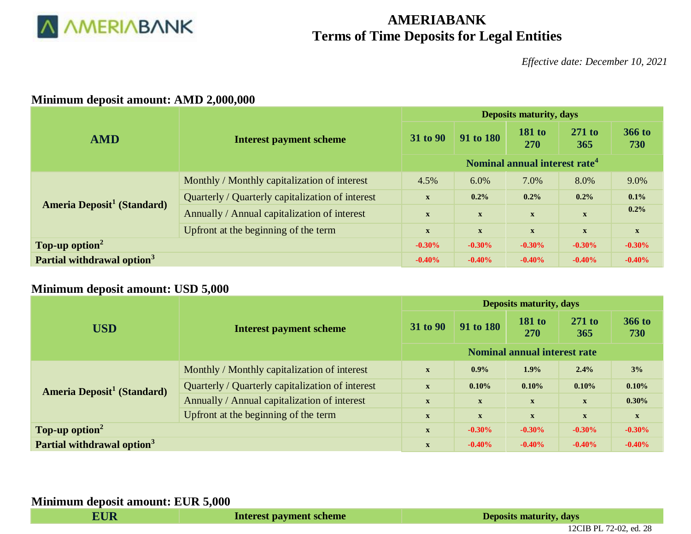

# **AMERIABANK Terms of Time Deposits for Legal Entities**

*Effective date: December 10, 2021*

### **Minimum deposit amount: AMD 2,000,000**

|                                              |                                                  | <b>Deposits maturity, days</b>                                                                           |              |               |              |              |  |  |  |
|----------------------------------------------|--------------------------------------------------|----------------------------------------------------------------------------------------------------------|--------------|---------------|--------------|--------------|--|--|--|
| <b>AMD</b>                                   | <b>Interest payment scheme</b>                   | <b>181 to</b><br>91 to 180<br>31 to 90<br>365<br><b>270</b><br>Nominal annual interest rate <sup>4</sup> | $271$ to     | 366 to<br>730 |              |              |  |  |  |
|                                              |                                                  |                                                                                                          |              |               |              |              |  |  |  |
| <b>Ameria Deposit<sup>1</sup></b> (Standard) | Monthly / Monthly capitalization of interest     | 4.5%                                                                                                     | 6.0%         | 7.0%          | 8.0%         | 9.0%         |  |  |  |
|                                              | Quarterly / Quarterly capitalization of interest | $\boldsymbol{\mathrm{X}}$                                                                                | 0.2%         | 0.2%          | 0.2%         | 0.1%         |  |  |  |
|                                              | Annually / Annual capitalization of interest     | $\mathbf{X}$                                                                                             | $\mathbf{X}$ | $\mathbf X$   | $\mathbf X$  | 0.2%         |  |  |  |
|                                              | Up front at the beginning of the term            | $\mathbf{X}$                                                                                             | $\mathbf{X}$ | $\mathbf{X}$  | $\mathbf{X}$ | $\mathbf{X}$ |  |  |  |
| Top-up option <sup>2</sup>                   |                                                  | $-0.30\%$                                                                                                | $-0.30%$     | $-0.30\%$     | $-0.30\%$    | $-0.30%$     |  |  |  |
| Partial withdrawal option <sup>3</sup>       |                                                  | $-0.40%$                                                                                                 | $-0.40%$     | $-0.40%$      | $-0.40%$     | $-0.40%$     |  |  |  |

## **Minimum deposit amount: USD 5,000**

|                                              | <b>Deposits maturity, days</b>                   |                                                                                                                                                                                                                       |                 |               |              |             |  |  |  |
|----------------------------------------------|--------------------------------------------------|-----------------------------------------------------------------------------------------------------------------------------------------------------------------------------------------------------------------------|-----------------|---------------|--------------|-------------|--|--|--|
| <b>USD</b>                                   | <b>Interest payment scheme</b>                   | <b>181 to</b><br>91 to 180<br>31 to 90<br>270<br>Nominal annual interest rate<br>1.9%<br>$0.9\%$<br>$\mathbf{X}$<br>$0.10\%$<br>0.10%<br>$\mathbf{X}$<br>$\mathbf{X}$<br>$\mathbf{X}$<br>$\mathbf{x}$<br>$\mathbf{X}$ | $271$ to<br>365 | 366 to<br>730 |              |             |  |  |  |
|                                              |                                                  |                                                                                                                                                                                                                       |                 |               |              |             |  |  |  |
| <b>Ameria Deposit<sup>1</sup></b> (Standard) | Monthly / Monthly capitalization of interest     |                                                                                                                                                                                                                       |                 |               | 2.4%         | 3%          |  |  |  |
|                                              | Quarterly / Quarterly capitalization of interest |                                                                                                                                                                                                                       |                 |               | 0.10%        | 0.10%       |  |  |  |
|                                              | Annually / Annual capitalization of interest     |                                                                                                                                                                                                                       |                 |               |              | 0.30%       |  |  |  |
|                                              | Upfront at the beginning of the term             | $\mathbf{X}$                                                                                                                                                                                                          | $\mathbf{X}$    | $\mathbf{X}$  | $\mathbf{X}$ | $\mathbf X$ |  |  |  |
| Top-up option <sup>2</sup>                   |                                                  | $\mathbf{X}$                                                                                                                                                                                                          | $-0.30%$        | $-0.30\%$     | $-0.30\%$    | $-0.30%$    |  |  |  |
| Partial withdrawal option <sup>3</sup>       |                                                  | $\mathbf{x}$                                                                                                                                                                                                          | $-0.40%$        | $-0.40%$      | $-0.40%$     | $-0.40%$    |  |  |  |

#### **Minimum deposit amount: EUR 5,000**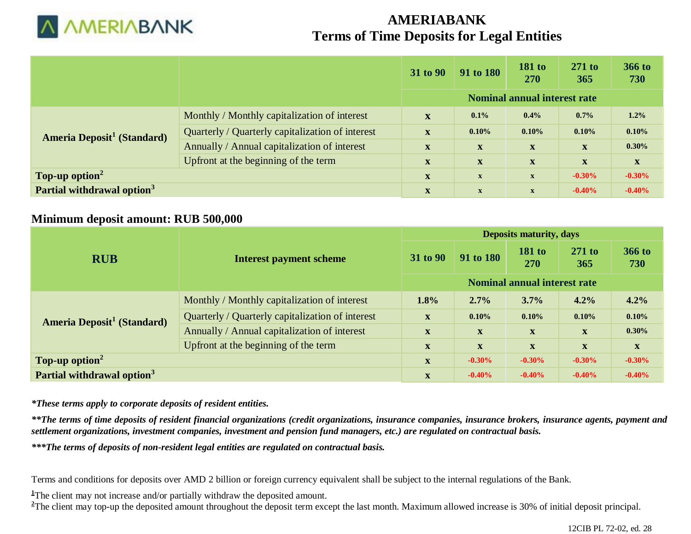

# **AMERIABANK Terms of Time Deposits for Legal Entities**

|                                              |                                                  | 31 to 90                            | 91 to 180    | <b>181 to</b><br><b>270</b> | $271$ to<br>365 | <b>366 to</b><br>730 |
|----------------------------------------------|--------------------------------------------------|-------------------------------------|--------------|-----------------------------|-----------------|----------------------|
|                                              |                                                  | <b>Nominal annual interest rate</b> |              |                             |                 |                      |
| <b>Ameria Deposit<sup>1</sup></b> (Standard) | Monthly / Monthly capitalization of interest     | $\mathbf{x}$                        | $0.1\%$      | 0.4%                        | 0.7%            | 1.2%                 |
|                                              | Quarterly / Quarterly capitalization of interest | $\mathbf{x}$                        | 0.10%        | 0.10%                       | 0.10%           | 0.10%                |
|                                              | Annually / Annual capitalization of interest     | $\mathbf{x}$                        | $\mathbf X$  | X                           | $\mathbf X$     | 0.30%                |
|                                              | Upfront at the beginning of the term             | $\mathbf{x}$                        | $\mathbf{X}$ | $\mathbf X$                 | X               | $\mathbf{X}$         |
| Top-up option <sup>2</sup>                   |                                                  | $\mathbf{X}$                        | $\mathbf{X}$ | $\mathbf{x}$                | $-0.30%$        | $-0.30%$             |
| Partial withdrawal option <sup>3</sup>       |                                                  | $\mathbf{x}$                        | $\mathbf{x}$ | $\mathbf{x}$                | $-0.40%$        | $-0.40%$             |

## **Minimum deposit amount: RUB 500,000**

|                                              |                                                  | <b>Deposits maturity, days</b> |              |                                     |                           |                      |  |  |  |
|----------------------------------------------|--------------------------------------------------|--------------------------------|--------------|-------------------------------------|---------------------------|----------------------|--|--|--|
| <b>RUB</b>                                   | <b>Interest payment scheme</b>                   | 31 to 90                       | 91 to 180    | <b>181 to</b><br>270                | $271$ to<br>365           | <b>366 to</b><br>730 |  |  |  |
|                                              |                                                  |                                |              | <b>Nominal annual interest rate</b> |                           |                      |  |  |  |
| <b>Ameria Deposit<sup>1</sup></b> (Standard) | Monthly / Monthly capitalization of interest     | 1.8%                           | $2.7\%$      | 3.7%                                | 4.2%                      | 4.2%                 |  |  |  |
|                                              | Quarterly / Quarterly capitalization of interest | $\mathbf{x}$                   | 0.10%        | 0.10%                               | 0.10%                     | 0.10%                |  |  |  |
|                                              | Annually / Annual capitalization of interest     | $\mathbf{x}$                   | $\mathbf{x}$ | $\mathbf{X}$                        | $\mathbf{X}$              | 0.30%                |  |  |  |
|                                              | Upfront at the beginning of the term             | $\mathbf{X}$                   | $\mathbf{X}$ | $\mathbf{X}$                        | $\boldsymbol{\mathrm{X}}$ | $\mathbf{X}$         |  |  |  |
| Top-up option <sup>2</sup>                   |                                                  | X                              | $-0.30\%$    | $-0.30\%$                           | $-0.30\%$                 | $-0.30\%$            |  |  |  |
| Partial withdrawal option <sup>3</sup>       |                                                  | X                              | $-0.40%$     | $-0.40%$                            | $-0.40%$                  | $-0.40%$             |  |  |  |

*\*These terms apply to corporate deposits of resident entities.* 

*\*\*The terms of time deposits of resident financial organizations (credit organizations, insurance companies, insurance brokers, insurance agents, payment and settlement organizations, investment companies, investment and pension fund managers, etc.) are regulated on contractual basis.*

*\*\*\*The terms of deposits of non-resident legal entities are regulated on contractual basis.*

Terms and conditions for deposits over AMD 2 billion or foreign currency equivalent shall be subject to the internal regulations of the Bank.

<sup>1</sup>The client may not increase and/or partially withdraw the deposited amount.

<sup>2</sup>The client may top-up the deposited amount throughout the deposit term except the last month. Maximum allowed increase is 30% of initial deposit principal.